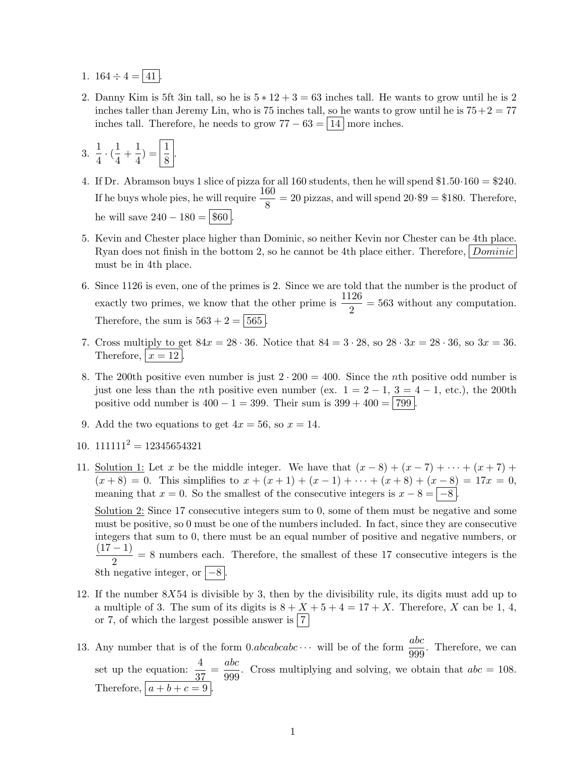- 1.  $164 \div 4 = 41$ .
- 2. Danny Kim is 5ft 3in tall, so he is  $5 * 12 + 3 = 63$  inches tall. He wants to grow until he is 2 inches taller than Jeremy Lin, who is 75 inches tall, so he wants to grow until he is  $75+2=77$ inches tall. Therefore, he needs to grow  $77 - 63 = 14$  more inches.

3. 
$$
\frac{1}{4} \cdot (\frac{1}{4} + \frac{1}{4}) = \boxed{\frac{1}{8}}
$$
.

- 4. If Dr. Abramson buys 1 slice of pizza for all 160 students, then he will spend \$1.50·160 = \$240. If he buys whole pies, he will require  $\frac{160}{8} = 20$  pizzas, and will spend  $20.99 = 180$ . Therefore, he will save  $240 - 180 = $60$ .
- 5. Kevin and Chester place higher than Dominic, so neither Kevin nor Chester can be 4th place. Ryan does not finish in the bottom 2, so he cannot be 4th place either. Therefore, Dominic must be in 4th place.
- 6. Since 1126 is even, one of the primes is 2. Since we are told that the number is the product of exactly two primes, we know that the other prime is  $\frac{1126}{2} = 563$  without any computation. Therefore, the sum is  $563 + 2 = 565$ .
- 7. Cross multiply to get  $84x = 28 \cdot 36$ . Notice that  $84 = 3 \cdot 28$ , so  $28 \cdot 3x = 28 \cdot 36$ , so  $3x = 36$ . Therefore,  $x = 12$ .
- 8. The 200th positive even number is just  $2 \cdot 200 = 400$ . Since the *n*th positive odd number is just one less than the *n*th positive even number (ex.  $1 = 2 - 1$ ,  $3 = 4 - 1$ , etc.), the 200th positive odd number is  $400 - 1 = 399$ . Their sum is  $399 + 400 = |799|$ .
- 9. Add the two equations to get  $4x = 56$ , so  $x = 14$ .
- 10.  $111111<sup>2</sup> = 12345654321$
- 11. Solution 1: Let x be the middle integer. We have that  $(x-8) + (x-7) + \cdots + (x+7) +$  $(x+8) = 0$ . This simplifies to  $x + (x+1) + (x-1) + \cdots + (x+8) + (x-8) = 17x = 0$ , meaning that  $x = 0$ . So the smallest of the consecutive integers is  $x - 8 = |-8|$ .

Solution 2: Since 17 consecutive integers sum to 0, some of them must be negative and some must be positive, so 0 must be one of the numbers included. In fact, since they are consecutive integers that sum to 0, there must be an equal number of positive and negative numbers, or  $(17 - 1)$  $\frac{1}{2}$  = 8 numbers each. Therefore, the smallest of these 17 consecutive integers is the 8th negative integer, or  $\vert -8 \vert$ .

- 12. If the number  $8X54$  is divisible by 3, then by the divisibility rule, its digits must add up to a multiple of 3. The sum of its digits is  $8 + X + 5 + 4 = 17 + X$ . Therefore, X can be 1, 4, or 7, of which the largest possible answer is  $|7|$
- 13. Any number that is of the form  $0. abcabcabc \cdots$  will be of the form  $\frac{abc}{\cos \theta}$ . Therefore, we can 999 set up the equation:  $\frac{4}{37} = \frac{abc}{999}$  $\frac{dS}{dS}$ . Cross multiplying and solving, we obtain that  $abc = 108$ . Therefore,  $|a + b + c = 9|$ .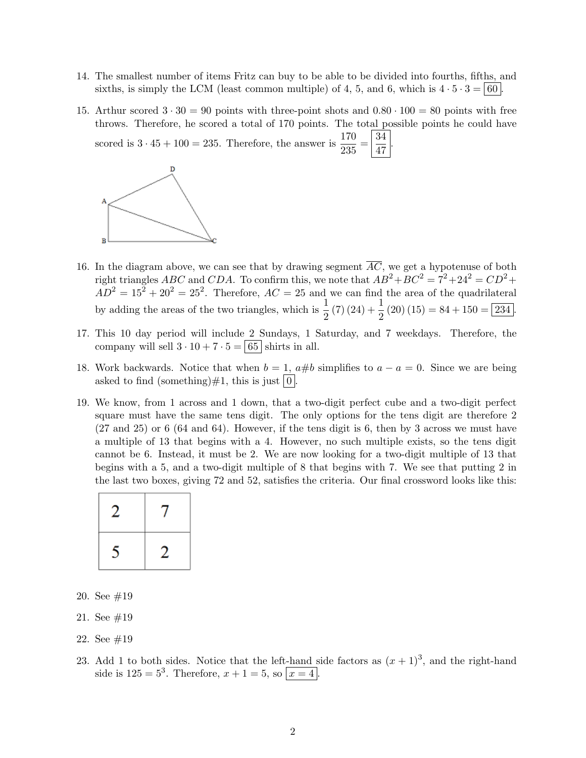- 14. The smallest number of items Fritz can buy to be able to be divided into fourths, fifths, and sixths, is simply the LCM (least common multiple) of 4, 5, and 6, which is  $4 \cdot 5 \cdot 3 = |60|$ .
- 15. Arthur scored  $3 \cdot 30 = 90$  points with three-point shots and  $0.80 \cdot 100 = 80$  points with free throws. Therefore, he scored a total of 170 points. The total possible points he could have .

47

scored is  $3 \cdot 45 + 100 = 235$ . Therefore, the answer is  $\frac{170}{235} = \frac{34}{47}$ 



- 16. In the diagram above, we can see that by drawing segment  $\overline{AC}$ , we get a hypotenuse of both right triangles ABC and CDA. To confirm this, we note that  $AB^2 + BC^2 = 7^2 + 24^2 = CD^2 +$  $AD^2 = 15^2 + 20^2 = 25^2$ . Therefore,  $AC = 25$  and we can find the area of the quadrilateral by adding the areas of the two triangles, which is  $\frac{1}{2}(7)(24) + \frac{1}{2}(20)(15) = 84 + 150 = 234$ .
- 17. This 10 day period will include 2 Sundays, 1 Saturday, and 7 weekdays. Therefore, the company will sell  $3 \cdot 10 + 7 \cdot 5 = |65|$  shirts in all.
- 18. Work backwards. Notice that when  $b = 1$ ,  $a \# b$  simplifies to  $a a = 0$ . Since we are being asked to find (something)  $\#1$ , this is just  $\boxed{0}$ .
- 19. We know, from 1 across and 1 down, that a two-digit perfect cube and a two-digit perfect square must have the same tens digit. The only options for the tens digit are therefore 2 (27 and 25) or 6 (64 and 64). However, if the tens digit is 6, then by 3 across we must have a multiple of 13 that begins with a 4. However, no such multiple exists, so the tens digit cannot be 6. Instead, it must be 2. We are now looking for a two-digit multiple of 13 that begins with a 5, and a two-digit multiple of 8 that begins with 7. We see that putting 2 in the last two boxes, giving 72 and 52, satisfies the criteria. Our final crossword looks like this:

| 2 |   |
|---|---|
| ς | 2 |

- 20. See #19
- 21. See #19
- 22. See #19
- 23. Add 1 to both sides. Notice that the left-hand side factors as  $(x + 1)^3$ , and the right-hand side is  $125 = 5^3$ . Therefore,  $x + 1 = 5$ , so  $\boxed{x = 4}$ .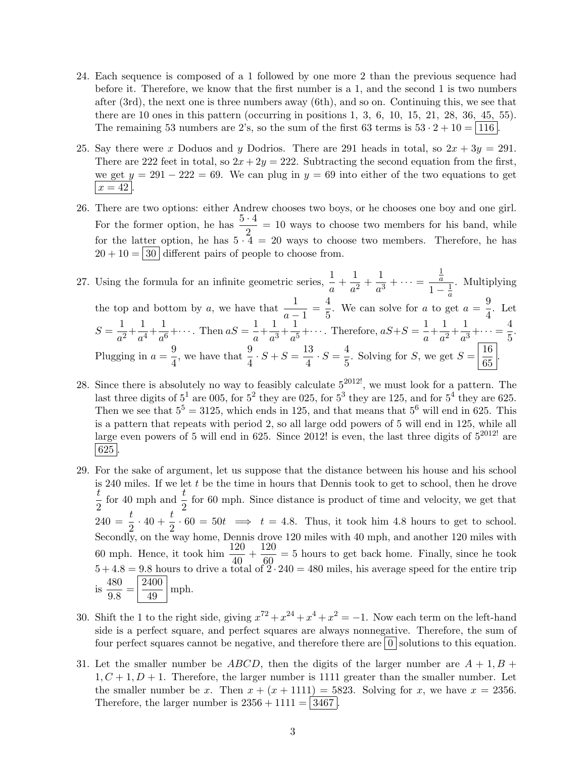- 24. Each sequence is composed of a 1 followed by one more 2 than the previous sequence had before it. Therefore, we know that the first number is a 1, and the second 1 is two numbers after (3rd), the next one is three numbers away (6th), and so on. Continuing this, we see that there are 10 ones in this pattern (occurring in positions 1, 3, 6, 10, 15, 21, 28, 36, 45, 55). The remaining 53 numbers are 2's, so the sum of the first 63 terms is  $53 \cdot 2 + 10 = |116|$ .
- 25. Say there were x Doduos and y Dodrios. There are 291 heads in total, so  $2x + 3y = 291$ . There are 222 feet in total, so  $2x + 2y = 222$ . Subtracting the second equation from the first, we get  $y = 291 - 222 = 69$ . We can plug in  $y = 69$  into either of the two equations to get  $|x = 42|$
- 26. There are two options: either Andrew chooses two boys, or he chooses one boy and one girl. For the former option, he has  $\frac{5 \cdot 4}{2} = 10$  ways to choose two members for his band, while for the latter option, he has  $5 \cdot 4 = 20$  ways to choose two members. Therefore, he has  $20 + 10 = 30$  different pairs of people to choose from.
- 27. Using the formula for an infinite geometric series,  $\frac{1}{a} + \frac{1}{a^2}$  $\frac{1}{a^2} + \frac{1}{a^3}$  $\frac{1}{a^3} + \cdots =$ 1 a  $1-\frac{1}{a}$  $\overline{a}$ . Multiplying the top and bottom by a, we have that  $\frac{1}{a-1} = \frac{4}{5}$  $\frac{4}{5}$ . We can solve for a to get  $a = \frac{9}{4}$  $\frac{3}{4}$ . Let  $S=\frac{1}{\epsilon}$  $\frac{1}{a^2} + \frac{1}{a^4}$  $\frac{1}{a^4} + \frac{1}{a^6}$  $\frac{1}{a^6} + \cdots$ . Then  $aS = \frac{1}{a}$  $\frac{1}{a} + \frac{1}{a^3}$  $\frac{1}{a^3} + \frac{1}{a^5}$  $\frac{1}{a^5} + \cdots$  Therefore,  $aS + S = \frac{1}{a}$  $\frac{1}{a} + \frac{1}{a^2}$  $\frac{1}{a^2} + \frac{1}{a^3}$  $\frac{1}{a^3} + \cdots = \frac{4}{5}$  $\frac{1}{5}$ . Plugging in  $a = \frac{9}{4}$  $\frac{9}{4}$ , we have that  $\frac{9}{4} \cdot S + S = \frac{13}{4}$  $\frac{13}{4} \cdot S = \frac{4}{5}$  $\frac{4}{5}$ . Solving for S, we get  $S = \frac{16}{65}$  $\frac{18}{65}$ .
- 28. Since there is absolutely no way to feasibly calculate  $5^{2012!}$ , we must look for a pattern. The last three digits of  $5^1$  are 005, for  $5^2$  they are 025, for  $5^3$  they are 125, and for  $5^4$  they are 625. Then we see that  $5^5 = 3125$ , which ends in 125, and that means that  $5^6$  will end in 625. This is a pattern that repeats with period 2, so all large odd powers of 5 will end in 125, while all large even powers of 5 will end in 625. Since 2012! is even, the last three digits of  $5^{2012}$ ! are  $\mid 625 \mid$
- 29. For the sake of argument, let us suppose that the distance between his house and his school is 240 miles. If we let  $t$  be the time in hours that Dennis took to get to school, then he drove t  $\frac{t}{2}$  for 40 mph and  $\frac{t}{2}$  for 60 mph. Since distance is product of time and velocity, we get that  $\overline{t}$  =  $\frac{t}{240}$  =  $\frac{t}{20}$  +  $\frac{t}{60}$  = 50t  $\implies$  t = 4.8. Thus, it took him 4.8 hours to get to school. 2<sup>2</sup><sup>2</sup> Secondly, on the way home, Dennis drove 120 miles with 40 mph, and another 120 miles with 60 mph. Hence, it took him  $\frac{120}{40} + \frac{120}{60}$  $\frac{120}{60}$  = 5 hours to get back home. Finally, since he took  $5 + 4.8 = 9.8$  hours to drive a total of  $2 \cdot 240 = 480$  miles, his average speed for the entire trip is  $\frac{480}{20}$  $\frac{480}{9.8} = \frac{2400}{49}$  $\frac{100}{49}$  mph.
- 30. Shift the 1 to the right side, giving  $x^{72} + x^{24} + x^4 + x^2 = -1$ . Now each term on the left-hand side is a perfect square, and perfect squares are always nonnegative. Therefore, the sum of four perfect squares cannot be negative, and therefore there are  $|0|$  solutions to this equation.
- 31. Let the smaller number be ABCD, then the digits of the larger number are  $A + 1, B + 1$  $1, C + 1, D + 1$ . Therefore, the larger number is 1111 greater than the smaller number. Let the smaller number be x. Then  $x + (x + 1111) = 5823$ . Solving for x, we have  $x = 2356$ . Therefore, the larger number is  $2356 + 1111 = |3467|$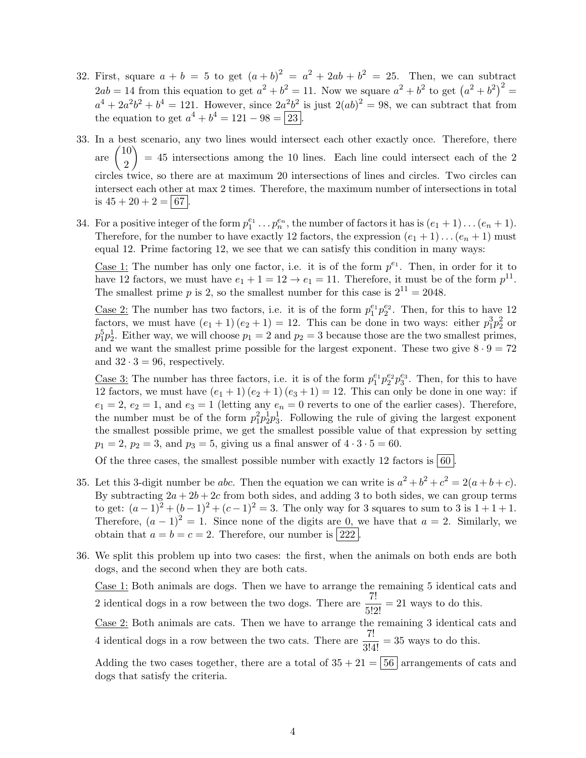- 32. First, square  $a + b = 5$  to get  $(a + b)^2 = a^2 + 2ab + b^2 = 25$ . Then, we can subtract  $2ab = 14$  from this equation to get  $a^2 + b^2 = 11$ . Now we square  $a^2 + b^2$  to get  $(a^2 + b^2)^2 =$  $a^4 + 2a^2b^2 + b^4 = 121$ . However, since  $2a^2b^2$  is just  $2(ab)^2 = 98$ , we can subtract that from the equation to get  $a^4 + b^4 = 121 - 98 = 23$ .
- 33. In a best scenario, any two lines would intersect each other exactly once. Therefore, there are  $\begin{pmatrix} 10 \\ 0 \end{pmatrix}$ 2  $\setminus$  $= 45$  intersections among the 10 lines. Each line could intersect each of the 2 circles twice, so there are at maximum 20 intersections of lines and circles. Two circles can intersect each other at max 2 times. Therefore, the maximum number of intersections in total is  $45 + 20 + 2 = 67$ .
- 34. For a positive integer of the form  $p_1^{e_1} \ldots p_n^{e_n}$ , the number of factors it has is  $(e_1 + 1) \ldots (e_n + 1)$ . Therefore, for the number to have exactly 12 factors, the expression  $(e_1 + 1) \dots (e_n + 1)$  must equal 12. Prime factoring 12, we see that we can satisfy this condition in many ways:

Case 1: The number has only one factor, i.e. it is of the form  $p^{e_1}$ . Then, in order for it to have 12 factors, we must have  $e_1 + 1 = 12 \rightarrow e_1 = 11$ . Therefore, it must be of the form  $p^{11}$ . The smallest prime p is 2, so the smallest number for this case is  $2^{11} = 2048$ .

<u>Case 2:</u> The number has two factors, i.e. it is of the form  $p_1^{e_1}p_2^{e_2}$ . Then, for this to have 12 factors, we must have  $(e_1 + 1)(e_2 + 1) = 12$ . This can be done in two ways: either  $p_1^3 p_2^2$  or  $p_1^5p_2^1$ . Either way, we will choose  $p_1 = 2$  and  $p_2 = 3$  because those are the two smallest primes, and we want the smallest prime possible for the largest exponent. These two give  $8 \cdot 9 = 72$ and  $32 \cdot 3 = 96$ , respectively.

<u>Case 3:</u> The number has three factors, i.e. it is of the form  $p_1^{e_1}p_2^{e_2}p_3^{e_3}$ . Then, for this to have 12 factors, we must have  $(e_1 + 1)(e_2 + 1)(e_3 + 1) = 12$ . This can only be done in one way: if  $e_1 = 2, e_2 = 1$ , and  $e_3 = 1$  (letting any  $e_n = 0$  reverts to one of the earlier cases). Therefore, the number must be of the form  $p_1^2 p_2^1 p_3^1$ . Following the rule of giving the largest exponent the smallest possible prime, we get the smallest possible value of that expression by setting  $p_1 = 2, p_2 = 3, \text{ and } p_3 = 5, \text{ giving us a final answer of } 4 \cdot 3 \cdot 5 = 60.$ 

Of the three cases, the smallest possible number with exactly 12 factors is  $\vert 60 \vert$ 

- 35. Let this 3-digit number be abc. Then the equation we can write is  $a^2 + b^2 + c^2 = 2(a+b+c)$ . By subtracting  $2a + 2b + 2c$  from both sides, and adding 3 to both sides, we can group terms to get:  $(a-1)^2 + (b-1)^2 + (c-1)^2 = 3$ . The only way for 3 squares to sum to 3 is 1+1+1. Therefore,  $(a - 1)^2 = 1$ . Since none of the digits are 0, we have that  $a = 2$ . Similarly, we obtain that  $a = b = c = 2$ . Therefore, our number is 222.
- 36. We split this problem up into two cases: the first, when the animals on both ends are both dogs, and the second when they are both cats.

Case 1: Both animals are dogs. Then we have to arrange the remaining 5 identical cats and 2 identical dogs in a row between the two dogs. There are  $\frac{7!}{5!2!} = 21$  ways to do this.

Case 2: Both animals are cats. Then we have to arrange the remaining 3 identical cats and 4 identical dogs in a row between the two cats. There are  $\frac{7!}{3!4!} = 35$  ways to do this.

Adding the two cases together, there are a total of  $35 + 21 = 56$  arrangements of cats and dogs that satisfy the criteria.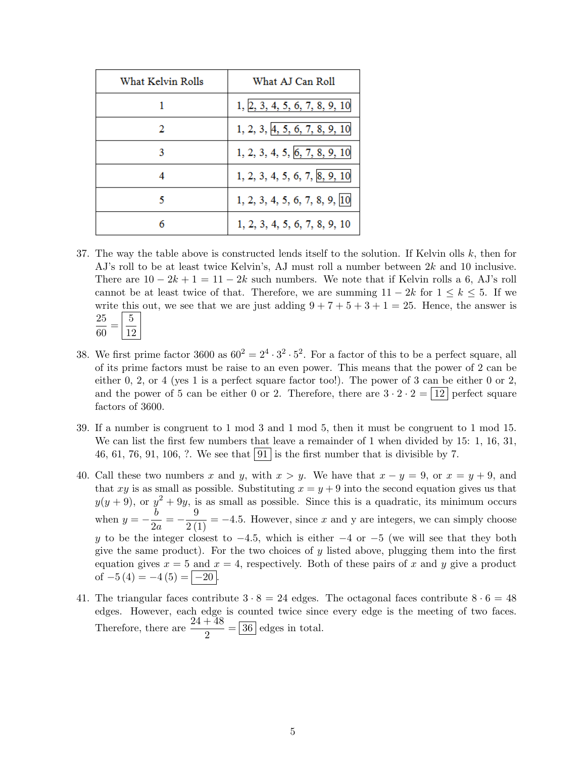| What Kelvin Rolls | What AJ Can Roll              |
|-------------------|-------------------------------|
|                   | 1, 2, 3, 4, 5, 6, 7, 8, 9, 10 |
| 2                 | 1, 2, 3, 4, 5, 6, 7, 8, 9, 10 |
| 3                 | 1, 2, 3, 4, 5, 6, 7, 8, 9, 10 |
| 4                 | 1, 2, 3, 4, 5, 6, 7, 8, 9, 10 |
| к                 | 1, 2, 3, 4, 5, 6, 7, 8, 9, 10 |
|                   | 1, 2, 3, 4, 5, 6, 7, 8, 9, 10 |

- 37. The way the table above is constructed lends itself to the solution. If Kelvin olls  $k$ , then for AJ's roll to be at least twice Kelvin's, AJ must roll a number between 2k and 10 inclusive. There are  $10 - 2k + 1 = 11 - 2k$  such numbers. We note that if Kelvin rolls a 6, AJ's roll cannot be at least twice of that. Therefore, we are summing  $11 - 2k$  for  $1 \leq k \leq 5$ . If we write this out, we see that we are just adding  $9 + 7 + 5 + 3 + 1 = 25$ . Hence, the answer is 25  $\frac{25}{60} = \frac{5}{12}$ 12
- 38. We first prime factor 3600 as  $60^2 = 2^4 \cdot 3^2 \cdot 5^2$ . For a factor of this to be a perfect square, all of its prime factors must be raise to an even power. This means that the power of 2 can be either  $0, 2$ , or  $4$  (yes 1 is a perfect square factor too!). The power of 3 can be either 0 or 2, and the power of 5 can be either 0 or 2. Therefore, there are  $3 \cdot 2 \cdot 2 = 12$  perfect square factors of 3600.
- 39. If a number is congruent to 1 mod 3 and 1 mod 5, then it must be congruent to 1 mod 15. We can list the first few numbers that leave a remainder of 1 when divided by 15: 1, 16, 31, 46, 61, 76, 91, 106, ?. We see that  $91$  is the first number that is divisible by 7.
- 40. Call these two numbers x and y, with  $x > y$ . We have that  $x y = 9$ , or  $x = y + 9$ , and that xy is as small as possible. Substituting  $x = y + 9$  into the second equation gives us that  $y(y+9)$ , or  $y^2 + 9y$ , is as small as possible. Since this is a quadratic, its minimum occurs when  $y = -\frac{b}{2}$  $\frac{b}{2a} = -\frac{9}{2(1)} = -4.5$ . However, since x and y are integers, we can simply choose y to be the integer closest to  $-4.5$ , which is either  $-4$  or  $-5$  (we will see that they both give the same product). For the two choices of  $y$  listed above, plugging them into the first equation gives  $x = 5$  and  $x = 4$ , respectively. Both of these pairs of x and y give a product of  $-5(4) = -4(5) = |-20|$ .
- 41. The triangular faces contribute  $3 \cdot 8 = 24$  edges. The octagonal faces contribute  $8 \cdot 6 = 48$ edges. However, each edge is counted twice since every edge is the meeting of two faces. Therefore, there are  $\frac{24+48}{2} = 36$  edges in total.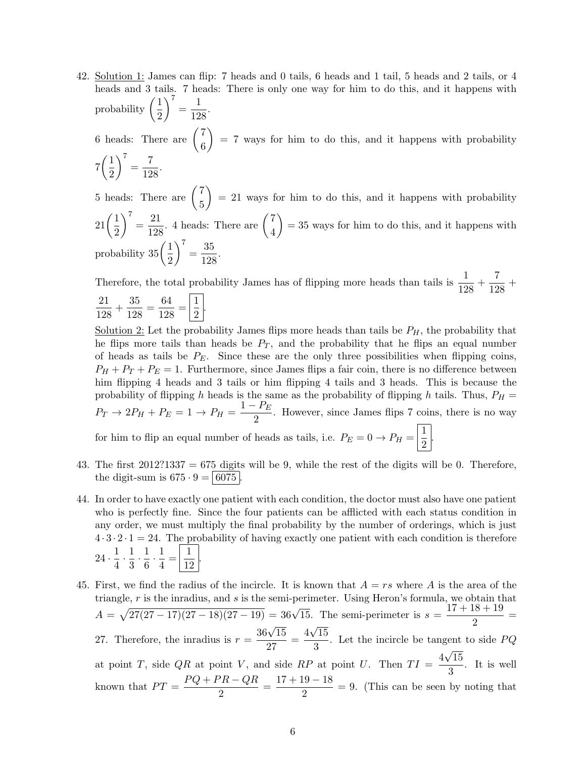42. Solution 1: James can flip: 7 heads and 0 tails, 6 heads and 1 tail, 5 heads and 2 tails, or 4 heads and 3 tails. 7 heads: There is only one way for him to do this, and it happens with probability  $\left(\frac{1}{2}\right)$ 2  $\bigg)^7 = \frac{1}{10}$  $\frac{1}{128}$ . 6 heads: There are  $\begin{pmatrix} 7 \\ 2 \end{pmatrix}$ 6  $= 7$  ways for him to do this, and it happens with probability  $7\left(\frac{1}{2}\right)$ 2  $\bigg\}^7 = \frac{7}{18}$  $\frac{1}{128}$ . 5 heads: There are  $\begin{pmatrix} 7 \\ 7 \end{pmatrix}$ 5  $= 21$  ways for him to do this, and it happens with probability  $21\left(\frac{1}{2}\right)$ 2  $\bigg)^7 = \frac{21}{100}$  $\frac{21}{128}$ . 4 heads: There are  $\begin{pmatrix} 7 \\ 4 \end{pmatrix}$ 4  $= 35$  ways for him to do this, and it happens with probability  $35\left(\frac{1}{2}\right)$ 2  $\bigg)^7 = \frac{35}{129}$  $\frac{99}{128}$ 

Therefore, the total probability James has of flipping more heads than tails is  $\frac{1}{128} + \frac{7}{12}$  $\frac{1}{128}$  + 21  $\frac{21}{128} + \frac{35}{128}$  $\frac{35}{128} = \frac{64}{128}$  $\frac{64}{128} = \frac{1}{2}$  $\frac{1}{2}$ .

Solution 2: Let the probability James flips more heads than tails be  $P_H$ , the probability that he flips more tails than heads be  $P_T$ , and the probability that he flips an equal number of heads as tails be  $P_E$ . Since these are the only three possibilities when flipping coins,  $P_H + P_T + P_E = 1$ . Furthermore, since James flips a fair coin, there is no difference between him flipping 4 heads and 3 tails or him flipping 4 tails and 3 heads. This is because the probability of flipping h heads is the same as the probability of flipping h tails. Thus,  $P_H =$  $P_T \rightarrow 2P_H + P_E = 1 \rightarrow P_H = \frac{1-P_E}{2}$  $\frac{1}{2}$ . However, since James flips 7 coins, there is no way for him to flip an equal number of heads as tails, i.e.  $P_E = 0 \rightarrow P_H = \frac{1}{2}$ .

2 43. The first  $2012$ ?1337 = 675 digits will be 9, while the rest of the digits will be 0. Therefore,

the digit-sum is  $675 \cdot 9 = | 6075 |$ 

- 44. In order to have exactly one patient with each condition, the doctor must also have one patient who is perfectly fine. Since the four patients can be afflicted with each status condition in any order, we must multiply the final probability by the number of orderings, which is just  $4 \cdot 3 \cdot 2 \cdot 1 = 24$ . The probability of having exactly one patient with each condition is therefore  $24 \cdot \frac{1}{4}$  $\frac{1}{4} \cdot \frac{1}{3}$  $\frac{1}{3} \cdot \frac{1}{6}$  $\frac{1}{6} \cdot \frac{1}{4}$  $\frac{1}{4} = \frac{1}{12}$  $rac{1}{12}$ .
- 45. First, we find the radius of the incircle. It is known that  $A = rs$  where A is the area of the triangle,  $r$  is the inradius, and  $s$  is the semi-perimeter. Using Heron's formula, we obtain that  $A = \sqrt{27(27-17)(27-18)(27-19)} = 36\sqrt{15}$ . The semi-perimeter is  $s = \frac{17+18+19}{8}$  $\frac{10}{2}$  = 27. Therefore, the inradius is  $r = \frac{36\sqrt{15}}{27}$  $\frac{\sqrt{15}}{27} = \frac{4}{1}$ √ 15  $\frac{1}{3}$ . Let the incircle be tangent to side  $PQ$ at point T, side QR at point V, and side RP at point U. Then  $TI = \frac{4\sqrt{15}}{2}$ √  $\frac{10}{3}$ . It is well known that  $PT = \frac{PQ + PR - QR}{2}$  $\frac{P}{2} = \frac{17 + 19 - 18}{2}$  $\frac{20}{2}$  = 9. (This can be seen by noting that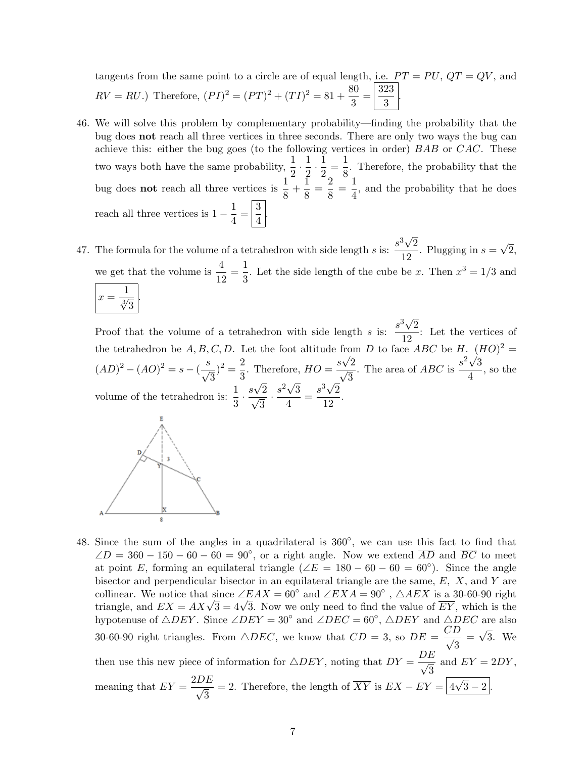tangents from the same point to a circle are of equal length, i.e.  $PT = PU$ ,  $QT = QV$ , and  $RV = RU$ .) Therefore,  $(PI)^2 = (PT)^2 + (TI)^2 = 81 + \frac{80}{3}$  $rac{30}{3} = \frac{323}{3}$  $\frac{20}{3}$ .

- 46. We will solve this problem by complementary probability—finding the probability that the bug does not reach all three vertices in three seconds. There are only two ways the bug can achieve this: either the bug goes (to the following vertices in order) BAB or CAC. These two ways both have the same probability,  $\frac{1}{2} \cdot \frac{1}{2}$  $\frac{1}{2} \cdot \frac{1}{2}$  $\frac{1}{2} = \frac{1}{8}$  $\frac{1}{8}$ . Therefore, the probability that the bug does **not** reach all three vertices is  $\frac{1}{8} + \frac{1}{8}$  $\frac{1}{8} = \frac{2}{8}$  $\frac{2}{8} = \frac{1}{4}$  $\frac{1}{4}$ , and the probability that he does reach all three vertices is  $1 - \frac{1}{4}$  $\frac{1}{4} = \frac{3}{4}$  $\frac{6}{4}$
- 47. The formula for the volume of a tetrahedron with side length s is:  $\frac{s^3\sqrt{}}{12}$ 2  $\frac{1}{12}$ . Plugging in  $s =$ √ 2, we get that the volume is  $\frac{4}{12} = \frac{1}{3}$  $\frac{1}{3}$ . Let the side length of the cube be x. Then  $x^3 = 1/3$  and  $x=\frac{1}{\sqrt[3]{3}}$ . √

Proof that the volume of a tetrahedron with side length s is:  $\frac{s^3\sqrt{2}}{10}$  $\frac{1}{12}$ : Let the vertices of the tetrahedron be  $A, B, C, D$ . Let the foot altitude from D to face ABC be H.  $(HO)^2 =$  $(AD)^2 - (AO)^2 = s - (\frac{s}{\sqrt{2}})$ 3  $)^{2}=\frac{2}{2}$  $rac{2}{3}$ . Therefore,  $HO = \frac{s\sqrt{2}}{\sqrt{3}}$ 3 . The area of *ABC* is  $\frac{s^2\sqrt{3}}{4}$  $\frac{\sqrt{3}}{4}$ , so the volume of the tetrahedron is:  $\frac{1}{3} \cdot \frac{s\sqrt{2}}{\sqrt{3}}$ √ √ √ 3  $\cdot \frac{s^2\sqrt{3}}{4}$  $\frac{\sqrt{3}}{4} = \frac{s^3\sqrt{2}}{12}$  $\frac{1}{12}$ .



48. Since the sum of the angles in a quadrilateral is  $360^\circ$ , we can use this fact to find that  $\angle D = 360 - 150 - 60 - 60 = 90^{\circ}$ , or a right angle. Now we extend  $\overline{AD}$  and  $\overline{BC}$  to meet at point E, forming an equilateral triangle  $(\angle E = 180 - 60 - 60 = 60^{\circ})$ . Since the angle bisector and perpendicular bisector in an equilateral triangle are the same,  $E$ ,  $X$ , and  $Y$  are collinear. We notice that since  $\angle EAX = 60^{\circ}$  and  $\angle EXA = 90^{\circ}$ ,  $\triangle AEX$  is a 30-60-90 right columear. We notice that since  $\angle EAX = 00$  and  $\angle EXA = 90$ ,  $\triangle AEA$  is a 30-00-90 right triangle, and  $EX = AX\sqrt{3} = 4\sqrt{3}$ . Now we only need to find the value of  $\overline{EY}$ , which is the hypotenuse of  $\triangle DEF$ . Since  $\angle DEF = 30^\circ$  and  $\angle DEC = 60^\circ$ ,  $\triangle DEF$  and  $\triangle DEC$  are also 30-60-90 right triangles. From  $\triangle DEC$ , we know that  $CD = 3$ , so  $DE = \frac{CD}{\sqrt{2}}$ 3 = √ 3. We then use this new piece of information for  $\triangle DEF$ , noting that  $DY = \frac{DE}{\sqrt{2}}$ 3 and  $EY = 2DY$ , meaning that  $EY = \frac{2DE}{\sqrt{2}}$ 3 = 2. Therefore, the length of  $\overline{XY}$  is  $EX - EY = |4|$ √  $3 - 2$ .